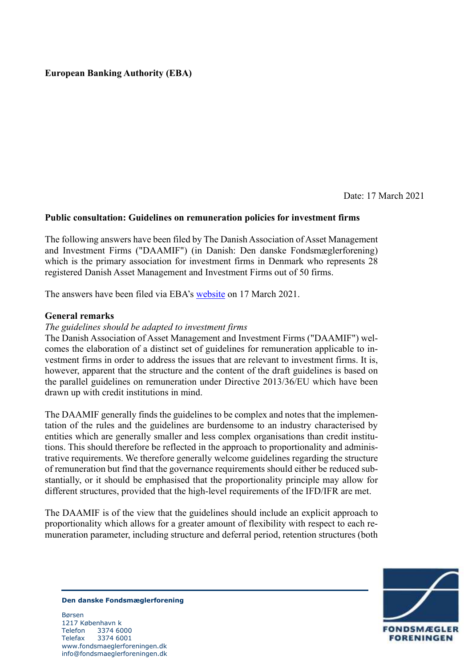# **European Banking Authority (EBA)**

Date: 17 March 2021

## **Public consultation: Guidelines on remuneration policies for investment firms**

The following answers have been filed by The Danish Association of Asset Management and Investment Firms ("DAAMIF") (in Danish: Den danske Fondsmæglerforening) which is the primary association for investment firms in Denmark who represents 28 registered Danish Asset Management and Investment Firms out of 50 firms.

The answers have been filed via EBA's [website](https://www.eba.europa.eu/consultation-guidelines-internal-governance-investment-firms-form) on 17 March 2021.

### **General remarks**

### *The guidelines should be adapted to investment firms*

The Danish Association of Asset Management and Investment Firms ("DAAMIF") welcomes the elaboration of a distinct set of guidelines for remuneration applicable to investment firms in order to address the issues that are relevant to investment firms. It is, however, apparent that the structure and the content of the draft guidelines is based on the parallel guidelines on remuneration under Directive 2013/36/EU which have been drawn up with credit institutions in mind.

The DAAMIF generally finds the guidelines to be complex and notes that the implementation of the rules and the guidelines are burdensome to an industry characterised by entities which are generally smaller and less complex organisations than credit institutions. This should therefore be reflected in the approach to proportionality and administrative requirements. We therefore generally welcome guidelines regarding the structure of remuneration but find that the governance requirements should either be reduced substantially, or it should be emphasised that the proportionality principle may allow for different structures, provided that the high-level requirements of the IFD/IFR are met.

The DAAMIF is of the view that the guidelines should include an explicit approach to proportionality which allows for a greater amount of flexibility with respect to each remuneration parameter, including structure and deferral period, retention structures (both



**Den danske Fondsmæglerforening**

Børsen 1217 København k Telefon 3374 6000 Telefax 3374 6001 www.fondsmaeglerforeningen.dk info@fondsmaeglerforeningen.dk